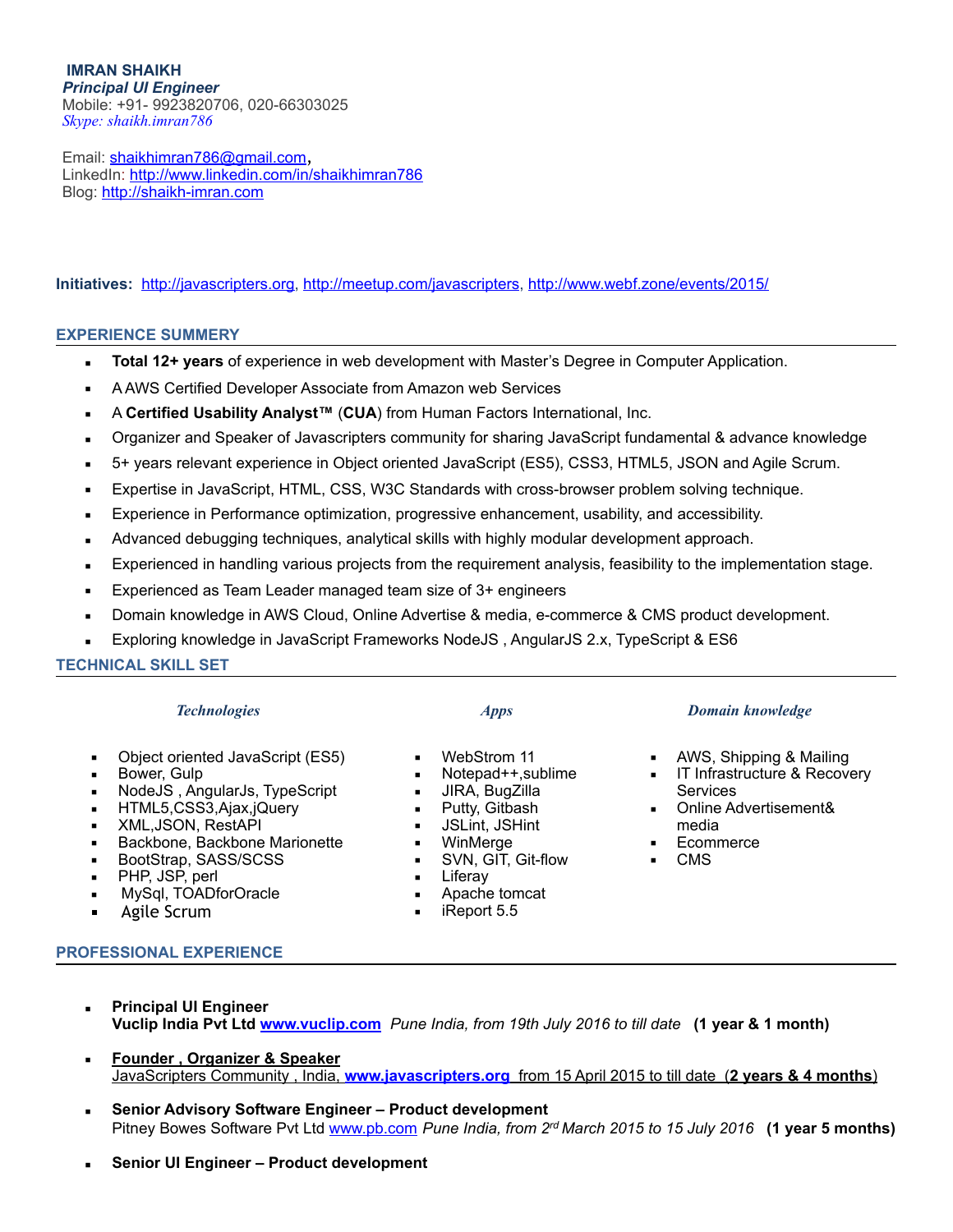**IMRAN SHAIKH**  *Principal UI Engineer* Mobile: +91- 9923820706, 020-66303025 *Skype: shaikh.imran786*

Email: [shaikhimran786@gmail.com](mailto:shaikhimran786@gmail.com), LinkedIn:<http://www.linkedin.com/in/shaikhimran786> Blog: <http://shaikh-imran.com>

#### **Initiatives:** <http://javascripters.org>, [http://meetup.com/javascripters,](http://meetup.com/javascripters)<http://www.webf.zone/events/2015/>

#### **EXPERIENCE SUMMERY**

- **EXECTE 12+ years** of experience in web development with Master's Degree in Computer Application.
- **EXE** A AWS Certified Developer Associate from Amazon web Services
- A **Certified Usability Analyst™** (**CUA**) from Human Factors International, Inc.
- Organizer and Speaker of Javascripters community for sharing JavaScript fundamental & advance knowledge
- 5+ years relevant experience in Object oriented JavaScript (ES5), CSS3, HTML5, JSON and Agile Scrum.
- Expertise in JavaScript, HTML, CSS, W3C Standards with cross-browser problem solving technique.
- Experience in Performance optimization, progressive enhancement, usability, and accessibility.
- Advanced debugging techniques, analytical skills with highly modular development approach.
- Experienced in handling various projects from the requirement analysis, feasibility to the implementation stage.
- Experienced as Team Leader managed team size of 3+ engineers
- Domain knowledge in AWS Cloud, Online Advertise & media, e-commerce & CMS product development.
- Exploring knowledge in JavaScript Frameworks NodeJS, AngularJS 2.x, TypeScript & ES6

**TECHNICAL SKILL SET** 

- Object oriented JavaScript (ES5)
- **■** Bower, Gulp
- NodeJS, AngularJs, TypeScript
- HTML5,CSS3,Ajax,jQuery
- XML,JSON, RestAPI
- Backbone, Backbone Marionette
- BootStrap, SASS/SCSS
- PHP, JSP, perl
- MySql, TOADforOracle
- Agile Scrum

#### **PROFESSIONAL EXPERIENCE**

- **Principal UI Engineer Vuclip India Pvt Ltd [www.vuclip.com](http://www.vuclip.com)** *Pune India, from 19th July 2016 to till date* **(1 year & 1 month)**
- **Founder, Organizer & Speaker** JavaScripters Community , India, **[www.javascripters.org](http://www.javascripters.org)** from 15 April 2015 to till date (**2 years & 4 months**)
- **Senior Advisory Software Engineer Product development**  Pitney Bowes Software Pvt Ltd [www.pb.com](http://www.pb.com) *Pune India, from 2rd March 2015 to 15 July 2016* **(1 year 5 months)**
- **Senior UI Engineer Product development**

#### *Technologies Apps Domain knowledge*

- AWS, Shipping & Mailing
- **EXECOVER IT Infrastructure & Recovery** Services
- Online Advertisement& media
- Ecommerce
- CMS
- 
- 
- WebStrom 11
- Notepad++,sublime
- JIRA, BugZilla
- Putty, Gitbash
- JSLint, JSHint
- WinMerge
- SVN, GIT, Git-flow<br>▪ Liferav
- Liferav
- Apache tomcat
- $\blacksquare$  iReport 5.5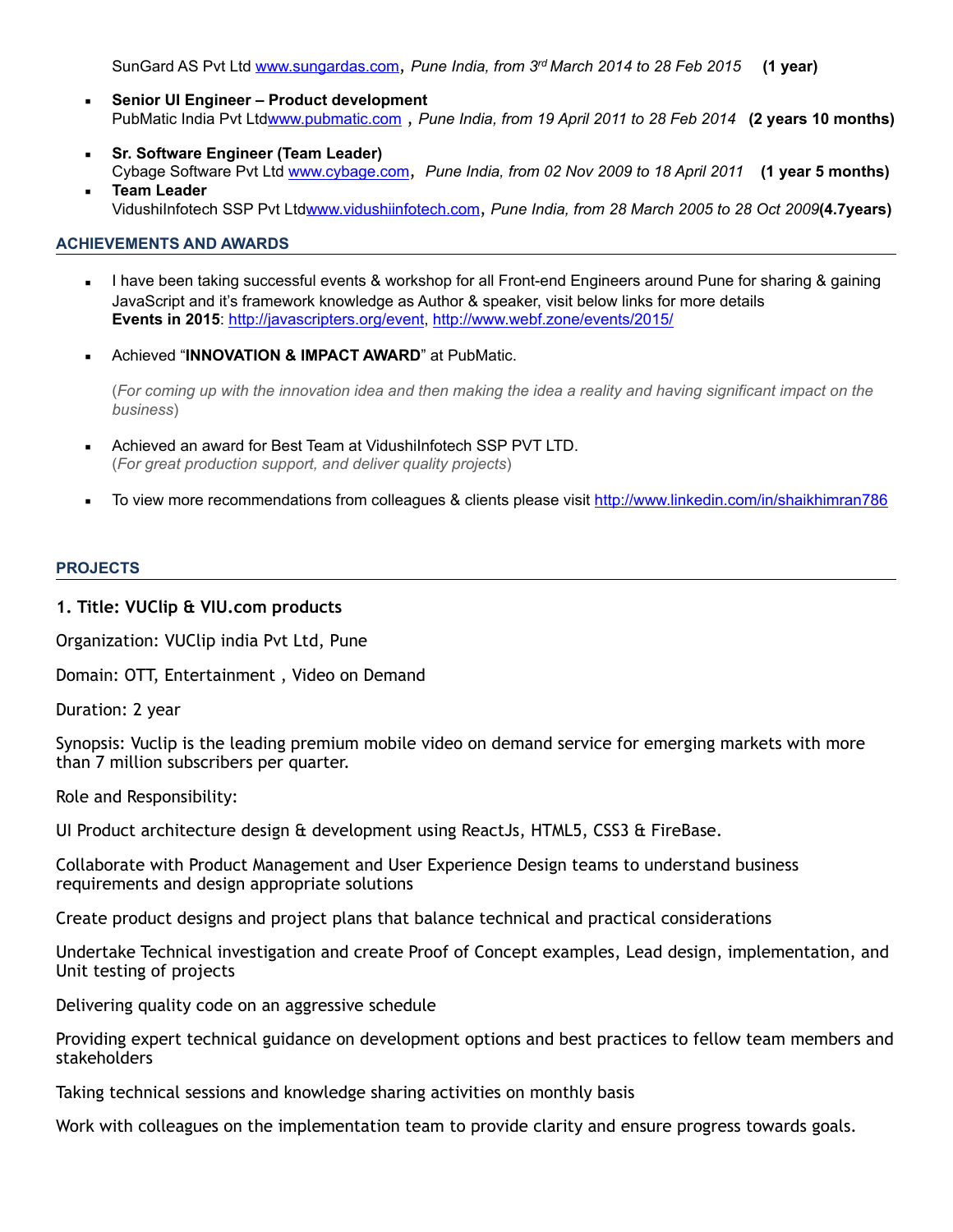SunGard AS Pvt Ltd [www.sungardas.com](http://www.sungardas.com), *Pune India, from 3rd March 2014 to 28 Feb 2015* **(1 year)**

- **Senior UI Engineer Product development** PubMatic India Pvt Lt[dwww.pubmatic.com](http://www.pubmatic.com) , *Pune India, from 19 April 2011 to 28 Feb 2014* **(2 years 10 months)**
- **Sr. Software Engineer (Team Leader)** Cybage Software Pvt Ltd [www.cybage.com](http://www.cybage.com), *Pune India, from 02 Nov 2009 to 18 April 2011* **(1 year 5 months) Team Leader**

VidushiInfotech SSP Pvt Ltd[www.vidushiinfotech.com](http://www.vidushiinfotech.com), *Pune India, from 28 March 2005 to 28 Oct 2009***(4.7years)**

## **ACHIEVEMENTS AND AWARDS**

- I have been taking successful events & workshop for all Front-end Engineers around Pune for sharing & gaining JavaScript and it's framework knowledge as Author & speaker, visit below links for more details **Events in 2015**: [http://javascripters.org/event,](http://javascripters.org/event)<http://www.webf.zone/events/2015/>
- **Achieved "INNOVATION & IMPACT AWARD" at PubMatic.**

(*For coming up with the innovation idea and then making the idea a reality and having significant impact on the business*)

- Achieved an award for Best Team at VidushiInfotech SSP PVT LTD. (*For great production support, and deliver quality projects*)
- To view more recommendations from colleagues & clients please visit<http://www.linkedin.com/in/shaikhimran786>

#### **PROJECTS**

## **1. Title: VUClip & VIU.com products**

Organization: VUClip india Pvt Ltd, Pune

Domain: OTT, Entertainment , Video on Demand

Duration: 2 year

Synopsis: Vuclip is the leading premium mobile video on demand service for emerging markets with more than 7 million subscribers per quarter.

Role and Responsibility:

UI Product architecture design  $\theta$  development using ReactJs, HTML5, CSS3  $\theta$  FireBase.

Collaborate with Product Management and User Experience Design teams to understand business requirements and design appropriate solutions

Create product designs and project plans that balance technical and practical considerations

Undertake Technical investigation and create Proof of Concept examples, Lead design, implementation, and Unit testing of projects

Delivering quality code on an aggressive schedule

Providing expert technical guidance on development options and best practices to fellow team members and stakeholders

Taking technical sessions and knowledge sharing activities on monthly basis

Work with colleagues on the implementation team to provide clarity and ensure progress towards goals.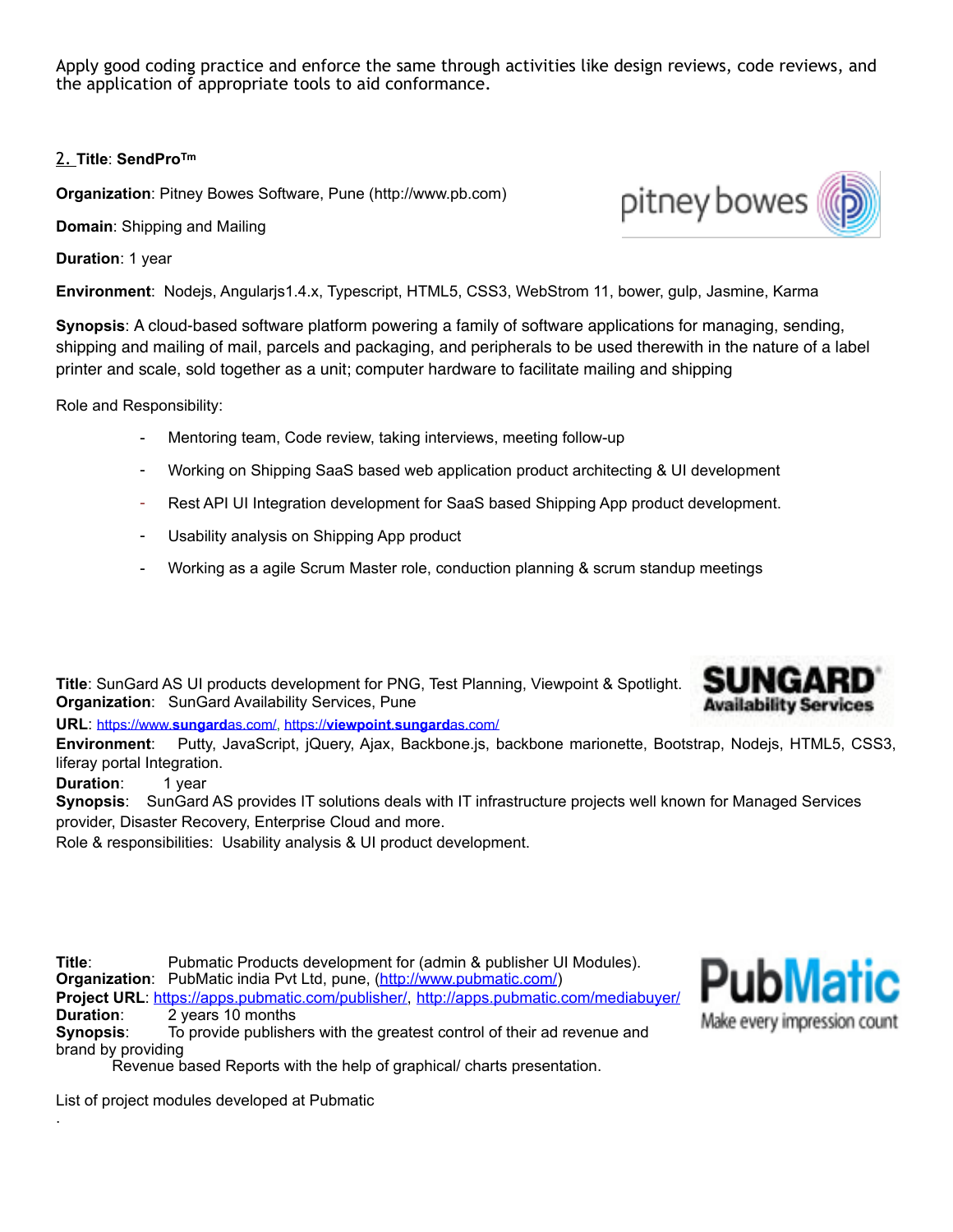Apply good coding practice and enforce the same through activities like design reviews, code reviews, and the application of appropriate tools to aid conformance.

# 2. **Title**: **SendProTm**

**Organization**: Pitney Bowes Software, Pune (http://www.pb.com)

**Domain**: Shipping and Mailing

**Duration**: 1 year

**Environment**: Nodejs, Angularjs1.4.x, Typescript, HTML5, CSS3, WebStrom 11, bower, gulp, Jasmine, Karma

**Synopsis**: A cloud-based software platform powering a family of software applications for managing, sending, shipping and mailing of mail, parcels and packaging, and peripherals to be used therewith in the nature of a label printer and scale, sold together as a unit; computer hardware to facilitate mailing and shipping

Role and Responsibility:

- Mentoring team, Code review, taking interviews, meeting follow-up
- Working on Shipping SaaS based web application product architecting & UI development
- Rest API UI Integration development for SaaS based Shipping App product development.
- Usability analysis on Shipping App product
- Working as a agile Scrum Master role, conduction planning & scrum standup meetings

**Title**: SunGard AS UI products development for PNG, Test Planning, Viewpoint & Spotlight. **Organization**: SunGard Availability Services, Pune

**URL**: [https://www.](https://www.sungardas.com/)**sungard**as.com/, https://**[viewpoint](https://viewpoint.sungardas.com/)**.**sungard**as.com/

**Environment**: Putty, JavaScript, jQuery, Ajax, Backbone.js, backbone marionette, Bootstrap, Nodejs, HTML5, CSS3, liferay portal Integration.

**Duration:** 1 year

.

**Synopsis**: SunGard AS provides IT solutions deals with IT infrastructure projects well known for Managed Services provider, Disaster Recovery, Enterprise Cloud and more.

Role & responsibilities: Usability analysis & UI product development.

**Title**: Pubmatic Products development for (admin & publisher UI Modules). **Organization:** PubMatic india Pvt Ltd, pune, [\(http://www.pubmatic.com/](http://www.pubmatic.com/)) **Project URL**: [https://apps.pubmatic.com/publisher/,](https://apps.pubmatic.com/publisher/) <http://apps.pubmatic.com/mediabuyer/> **Duration**: 2 years 10 months **Synopsis**: To provide publishers with the greatest control of their ad revenue and

brand by providing Revenue based Reports with the help of graphical/ charts presentation.

List of project modules developed at Pubmatic





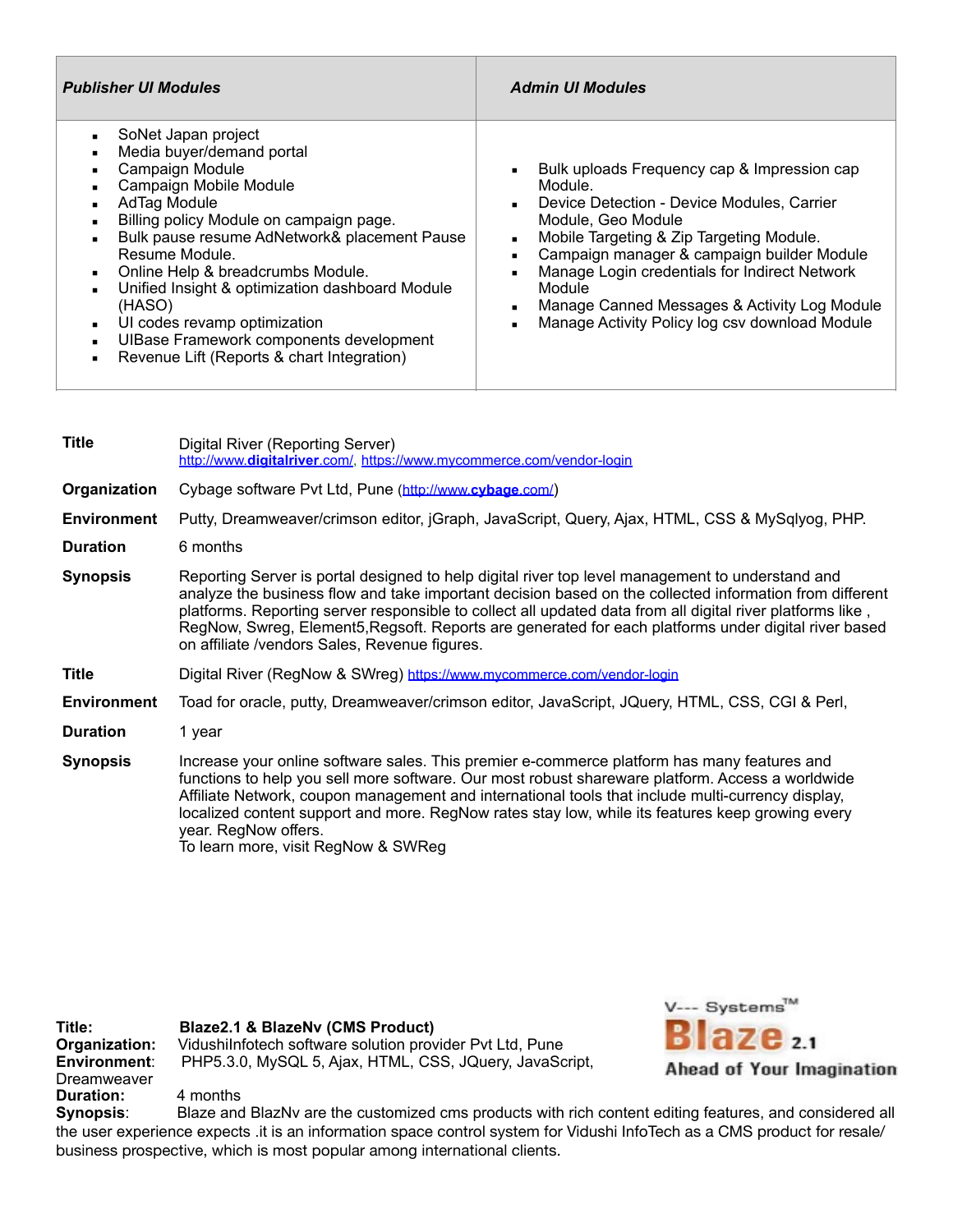| <b>Publisher UI Modules</b>                                                                                                                                                                                                                                                                                                                                                                                                                                                                                                                  | <b>Admin UI Modules</b>                                                                                                                                                                                                                                                                                                                                                                                                                                                  |
|----------------------------------------------------------------------------------------------------------------------------------------------------------------------------------------------------------------------------------------------------------------------------------------------------------------------------------------------------------------------------------------------------------------------------------------------------------------------------------------------------------------------------------------------|--------------------------------------------------------------------------------------------------------------------------------------------------------------------------------------------------------------------------------------------------------------------------------------------------------------------------------------------------------------------------------------------------------------------------------------------------------------------------|
| SoNet Japan project<br>$\blacksquare$<br>Media buyer/demand portal<br>٠<br>Campaign Module<br>٠<br>Campaign Mobile Module<br>٠<br>AdTag Module<br>$\blacksquare$<br>Billing policy Module on campaign page.<br>Bulk pause resume AdNetwork& placement Pause<br>Resume Module.<br>Online Help & breadcrumbs Module.<br>$\blacksquare$<br>Unified Insight & optimization dashboard Module<br>(HASO)<br>UI codes revamp optimization<br>$\blacksquare$<br>UIBase Framework components development<br>Revenue Lift (Reports & chart Integration) | Bulk uploads Frequency cap & Impression cap<br>$\blacksquare$<br>Module.<br>Device Detection - Device Modules, Carrier<br>$\blacksquare$<br>Module, Geo Module<br>Mobile Targeting & Zip Targeting Module.<br>٠<br>Campaign manager & campaign builder Module<br>$\blacksquare$<br>Manage Login credentials for Indirect Network<br>٠<br>Module<br>Manage Canned Messages & Activity Log Module<br>$\blacksquare$<br>Manage Activity Policy log csv download Module<br>٠ |

| <b>Title</b>       | Digital River (Reporting Server)<br>http://www.digitalriver.com/, https://www.mycommerce.com/vendor-login                                                                                                                                                                                                                                                                                                                                                                          |
|--------------------|------------------------------------------------------------------------------------------------------------------------------------------------------------------------------------------------------------------------------------------------------------------------------------------------------------------------------------------------------------------------------------------------------------------------------------------------------------------------------------|
| Organization       | Cybage software Pvt Ltd, Pune (http://www.cybage.com/)                                                                                                                                                                                                                                                                                                                                                                                                                             |
| <b>Environment</b> | Putty, Dreamweaver/crimson editor, jGraph, JavaScript, Query, Ajax, HTML, CSS & MySqlyog, PHP.                                                                                                                                                                                                                                                                                                                                                                                     |
| <b>Duration</b>    | 6 months                                                                                                                                                                                                                                                                                                                                                                                                                                                                           |
| <b>Synopsis</b>    | Reporting Server is portal designed to help digital river top level management to understand and<br>analyze the business flow and take important decision based on the collected information from different<br>platforms. Reporting server responsible to collect all updated data from all digital river platforms like,<br>RegNow, Swreg, Element5, Regsoft. Reports are generated for each platforms under digital river based<br>on affiliate /vendors Sales, Revenue figures. |
| <b>Title</b>       | Digital River (RegNow & SWreg) https://www.mycommerce.com/vendor-login                                                                                                                                                                                                                                                                                                                                                                                                             |
| <b>Environment</b> | Toad for oracle, putty, Dreamweaver/crimson editor, JavaScript, JQuery, HTML, CSS, CGI & Perl,                                                                                                                                                                                                                                                                                                                                                                                     |
| <b>Duration</b>    | 1 year                                                                                                                                                                                                                                                                                                                                                                                                                                                                             |
| <b>Synopsis</b>    | Increase your online software sales. This premier e-commerce platform has many features and<br>functions to help you sell more software. Our most robust shareware platform. Access a worldwide<br>Affiliate Network, coupon management and international tools that include multi-currency display,<br>localized content support and more. RegNow rates stay low, while its features keep growing every<br>year. RegNow offers.                                                   |

To learn more, visit [RegNow](http://www.mycommerce.com/regnow) & [SWReg](http://www.mycommerce.com/swreg)

**Title:** Blaze2.1 & BlazeNv (CMS Product)<br>
Organization: Vidushilnfotech software solution prov **Organization:** VidushiInfotech software solution provider Pvt Ltd, Pune Environment: PHP5.3.0, MySQL 5, Ajax, HTML, CSS, JQuery, JavaSc **Environment**: PHP5.3.0, MySQL 5, Ajax, HTML, CSS, JQuery, JavaScript, Dreamweaver **Duration:** 4 months



**Synopsis**: Blaze and BlazNv are the customized cms products with rich content editing features, and considered all the user experience expects .it is an information space control system for Vidushi InfoTech as a CMS product for resale/ business prospective, which is most popular among international clients.